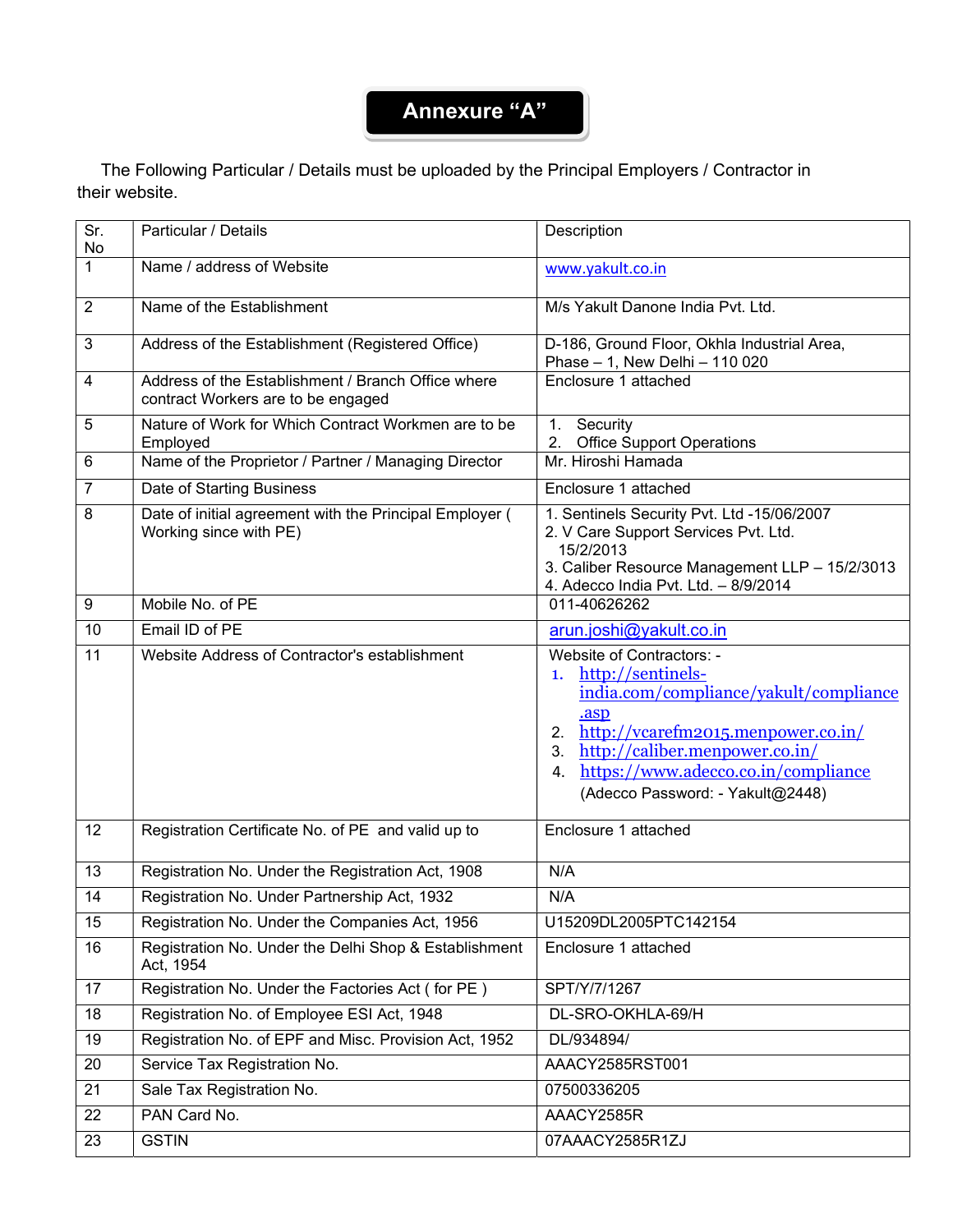## Annexure "A"

 The Following Particular / Details must be uploaded by the Principal Employers / Contractor in their website.

| Sr.<br>No      | Particular / Details                                                                     | Description                                                                                                                                                                                                                                                           |  |  |  |
|----------------|------------------------------------------------------------------------------------------|-----------------------------------------------------------------------------------------------------------------------------------------------------------------------------------------------------------------------------------------------------------------------|--|--|--|
| $\mathbf{1}$   | Name / address of Website                                                                | www.yakult.co.in                                                                                                                                                                                                                                                      |  |  |  |
| $\overline{2}$ | Name of the Establishment                                                                | M/s Yakult Danone India Pvt. Ltd.                                                                                                                                                                                                                                     |  |  |  |
| $\mathbf{3}$   | Address of the Establishment (Registered Office)                                         | D-186, Ground Floor, Okhla Industrial Area,<br>Phase - 1, New Delhi - 110 020                                                                                                                                                                                         |  |  |  |
| $\overline{4}$ | Address of the Establishment / Branch Office where<br>contract Workers are to be engaged | Enclosure 1 attached                                                                                                                                                                                                                                                  |  |  |  |
| 5              | Nature of Work for Which Contract Workmen are to be<br>Employed                          | 1.<br>Security<br>2.<br><b>Office Support Operations</b>                                                                                                                                                                                                              |  |  |  |
| $6\phantom{1}$ | Name of the Proprietor / Partner / Managing Director                                     | Mr. Hiroshi Hamada                                                                                                                                                                                                                                                    |  |  |  |
| $\overline{7}$ | Date of Starting Business                                                                | Enclosure 1 attached                                                                                                                                                                                                                                                  |  |  |  |
| 8              | Date of initial agreement with the Principal Employer (<br>Working since with PE)        | 1. Sentinels Security Pvt. Ltd -15/06/2007<br>2. V Care Support Services Pvt. Ltd.<br>15/2/2013<br>3. Caliber Resource Management LLP - 15/2/3013<br>4. Adecco India Pvt. Ltd. - 8/9/2014                                                                             |  |  |  |
| 9              | Mobile No. of PE                                                                         | 011-40626262                                                                                                                                                                                                                                                          |  |  |  |
| 10             | Email ID of PE                                                                           | arun.joshi@yakult.co.in                                                                                                                                                                                                                                               |  |  |  |
| 11             | Website Address of Contractor's establishment                                            | Website of Contractors: -<br>1. http://sentinels-<br>india.com/compliance/yakult/compliance<br>.asp<br>2. http://vcarefm2015.menpower.co.in/<br>http://caliber.menpower.co.in/<br>3.<br>https://www.adecco.co.in/compliance<br>4.<br>(Adecco Password: - Yakult@2448) |  |  |  |
| 12             | Registration Certificate No. of PE and valid up to                                       | Enclosure 1 attached                                                                                                                                                                                                                                                  |  |  |  |
| 13             | Registration No. Under the Registration Act, 1908                                        | N/A                                                                                                                                                                                                                                                                   |  |  |  |
| 14             | Registration No. Under Partnership Act, 1932                                             | N/A                                                                                                                                                                                                                                                                   |  |  |  |
| 15             | Registration No. Under the Companies Act, 1956                                           | U15209DL2005PTC142154                                                                                                                                                                                                                                                 |  |  |  |
| 16             | Registration No. Under the Delhi Shop & Establishment<br>Act, 1954                       | Enclosure 1 attached                                                                                                                                                                                                                                                  |  |  |  |
| 17             | Registration No. Under the Factories Act (for PE)                                        | SPT/Y/7/1267                                                                                                                                                                                                                                                          |  |  |  |
| 18             | Registration No. of Employee ESI Act, 1948                                               | DL-SRO-OKHLA-69/H                                                                                                                                                                                                                                                     |  |  |  |
| 19             | Registration No. of EPF and Misc. Provision Act, 1952                                    | DL/934894/                                                                                                                                                                                                                                                            |  |  |  |
| 20             | Service Tax Registration No.                                                             | AAACY2585RST001                                                                                                                                                                                                                                                       |  |  |  |
| 21             | Sale Tax Registration No.                                                                | 07500336205                                                                                                                                                                                                                                                           |  |  |  |
| 22             | PAN Card No.                                                                             | AAACY2585R                                                                                                                                                                                                                                                            |  |  |  |
| 23             | <b>GSTIN</b>                                                                             | 07AAACY2585R1ZJ                                                                                                                                                                                                                                                       |  |  |  |
|                |                                                                                          |                                                                                                                                                                                                                                                                       |  |  |  |